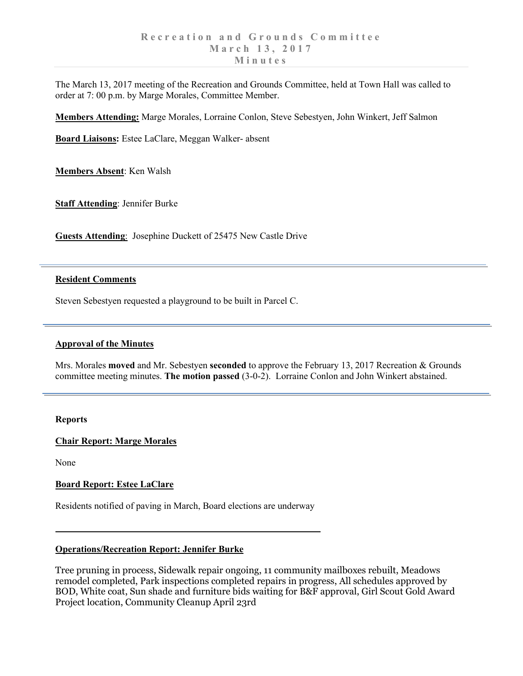The March 13, 2017 meeting of the Recreation and Grounds Committee, held at Town Hall was called to order at 7: 00 p.m. by Marge Morales, Committee Member.

**Members Attending:** Marge Morales, Lorraine Conlon, Steve Sebestyen, John Winkert, Jeff Salmon

**Board Liaisons:** Estee LaClare, Meggan Walker- absent

**Members Absent**: Ken Walsh

**Staff Attending**: Jennifer Burke

**Guests Attending**: Josephine Duckett of 25475 New Castle Drive

### **Resident Comments**

Steven Sebestyen requested a playground to be built in Parcel C.

#### **Approval of the Minutes**

Mrs. Morales **moved** and Mr. Sebestyen **seconded** to approve the February 13, 2017 Recreation & Grounds committee meeting minutes. **The motion passed** (3-0-2). Lorraine Conlon and John Winkert abstained.

#### **Reports**

### **Chair Report: Marge Morales**

None

### **Board Report: Estee LaClare**

Residents notified of paving in March, Board elections are underway

# **Operations/Recreation Report: Jennifer Burke**

Tree pruning in process, Sidewalk repair ongoing, 11 community mailboxes rebuilt, Meadows remodel completed, Park inspections completed repairs in progress, All schedules approved by BOD, White coat, Sun shade and furniture bids waiting for B&F approval, Girl Scout Gold Award Project location, Community Cleanup April 23rd